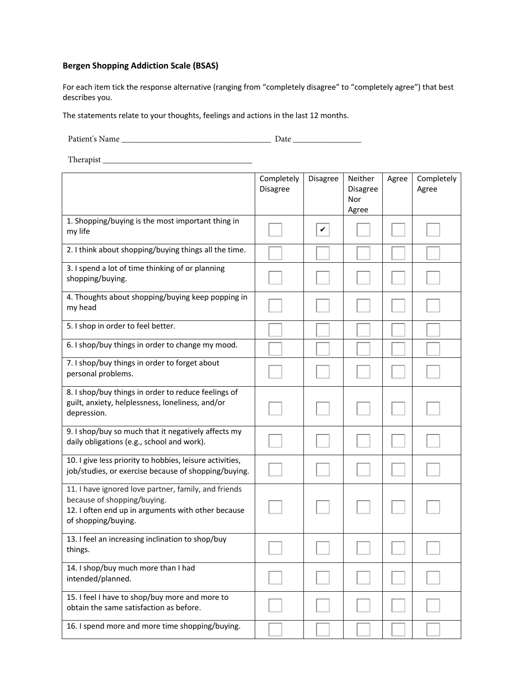## **Bergen Shopping Addiction Scale (BSAS)**

For each item tick the response alternative (ranging from "completely disagree" to "completely agree") that best describes you.

The statements relate to your thoughts, feelings and actions in the last 12 months.

Patient's Name \_\_\_\_\_\_\_\_\_\_\_\_\_\_\_\_\_\_\_\_\_\_\_\_\_\_\_\_\_\_\_\_\_\_\_ Date \_\_\_\_\_\_\_\_\_\_\_\_\_\_\_\_

Therapist \_\_\_\_\_\_\_\_\_\_\_\_\_\_\_\_\_\_\_\_\_\_\_\_\_\_\_\_\_\_\_\_\_\_\_

|                                                                                                                                                                  | Completely<br>Disagree | Disagree | Neither<br><b>Disagree</b><br>Nor<br>Agree | Agree | Completely<br>Agree |
|------------------------------------------------------------------------------------------------------------------------------------------------------------------|------------------------|----------|--------------------------------------------|-------|---------------------|
| 1. Shopping/buying is the most important thing in<br>my life                                                                                                     |                        | V        |                                            |       |                     |
| 2. I think about shopping/buying things all the time.                                                                                                            |                        |          |                                            |       |                     |
| 3. I spend a lot of time thinking of or planning<br>shopping/buying.                                                                                             |                        |          |                                            |       |                     |
| 4. Thoughts about shopping/buying keep popping in<br>my head                                                                                                     |                        |          |                                            |       |                     |
| 5. I shop in order to feel better.                                                                                                                               |                        |          |                                            |       |                     |
| 6. I shop/buy things in order to change my mood.                                                                                                                 |                        |          |                                            |       |                     |
| 7. I shop/buy things in order to forget about<br>personal problems.                                                                                              |                        |          |                                            |       |                     |
| 8. I shop/buy things in order to reduce feelings of<br>guilt, anxiety, helplessness, loneliness, and/or<br>depression.                                           |                        |          |                                            |       |                     |
| 9. I shop/buy so much that it negatively affects my<br>daily obligations (e.g., school and work).                                                                |                        |          |                                            |       |                     |
| 10. I give less priority to hobbies, leisure activities,<br>job/studies, or exercise because of shopping/buying.                                                 |                        |          |                                            |       |                     |
| 11. I have ignored love partner, family, and friends<br>because of shopping/buying.<br>12. I often end up in arguments with other because<br>of shopping/buying. |                        |          |                                            |       |                     |
| 13. I feel an increasing inclination to shop/buy<br>things.                                                                                                      |                        |          |                                            |       |                     |
| 14. I shop/buy much more than I had<br>intended/planned.                                                                                                         |                        |          |                                            |       |                     |
| 15. I feel I have to shop/buy more and more to<br>obtain the same satisfaction as before.                                                                        |                        |          |                                            |       |                     |
| 16. I spend more and more time shopping/buying.                                                                                                                  |                        |          |                                            |       |                     |